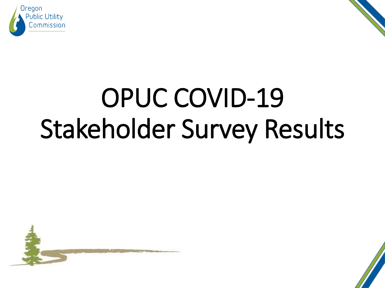



# OPUC COVID-19 Stakeholder Survey Results



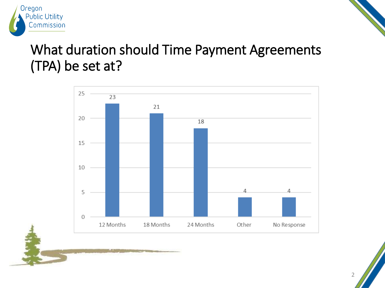

# What duration should Time Payment Agreements (TPA) be set at?

Oregon

**Public Utility** Commission

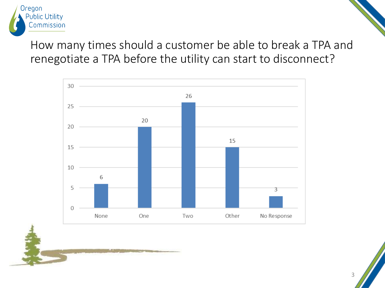

# How many times should a customer be able to break a TPA and renegotiate a TPA before the utility can start to disconnect?

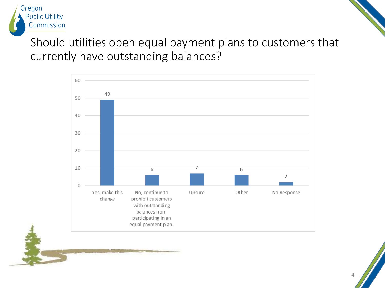

### Should utilities open equal payment plans to customers that currently have outstanding balances?



 $\Delta$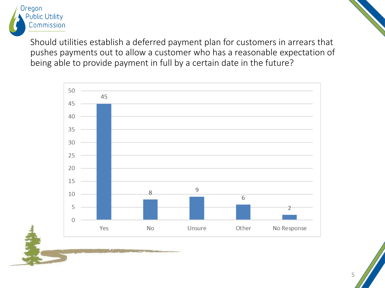

Should utilities establish a deferred payment plan for customers in arrears that pushes payments out to allow a customer who has a reasonable expectation of being able to provide payment in full by a certain date in the future?

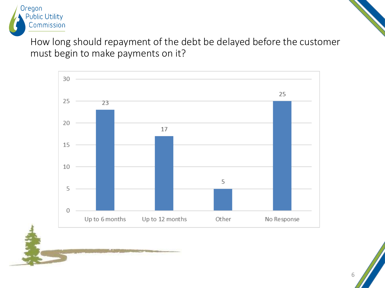

How long should repayment of the debt be delayed before the customer must begin to make payments on it?

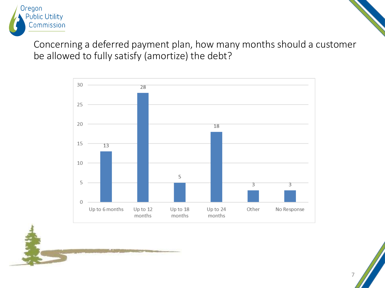

Concerning a deferred payment plan, how many months should a customer be allowed to fully satisfy (amortize) the debt?

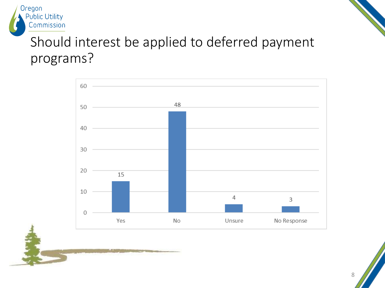

# Should interest be applied to deferred payment programs?

Oregon

**Public Utility** Commission

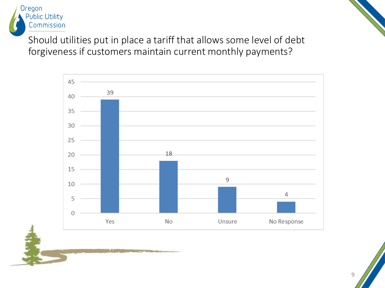

Should utilities put in place a tariff that allows some level of debt forgiveness if customers maintain current monthly payments?

Oregon

**Public Utility** Commission

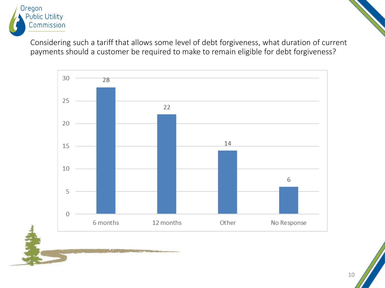

Considering such a tariff that allows some level of debt forgiveness, what duration of current payments should a customer be required to make to remain eligible for debt forgiveness?

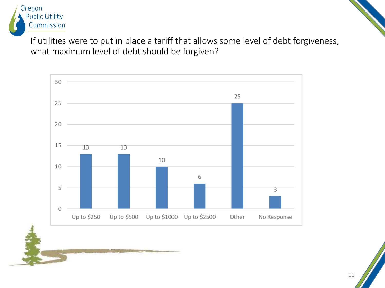

If utilities were to put in place a tariff that allows some level of debt forgiveness, what maximum level of debt should be forgiven?

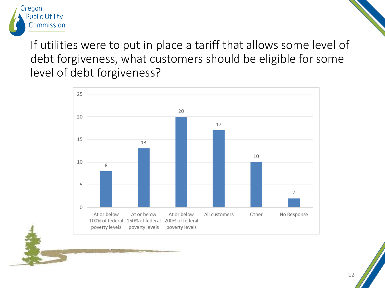

If utilities were to put in place a tariff that allows some level of debt forgiveness, what customers should be eligible for some level of debt forgiveness?

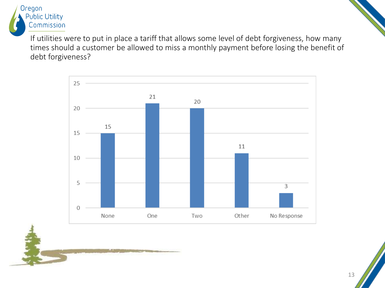

If utilities were to put in place a tariff that allows some level of debt forgiveness, how many times should a customer be allowed to miss a monthly payment before losing the benefit of debt forgiveness?

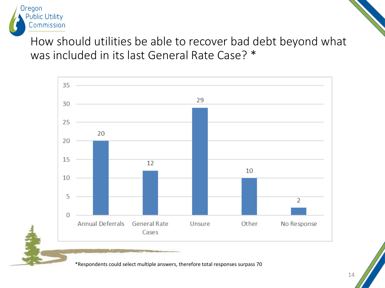

How should utilities be able to recover bad debt beyond what was included in its last General Rate Case? \*



\*Respondents could select multiple answers, therefore total responses surpass 70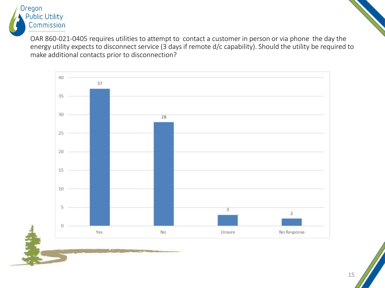

OAR 860-021-0405 requires utilities to attempt to contact a customer in person or via phone the day the energy utility expects to disconnect service (3 days if remote d/c capability). Should the utility be required to make additional contacts prior to disconnection?

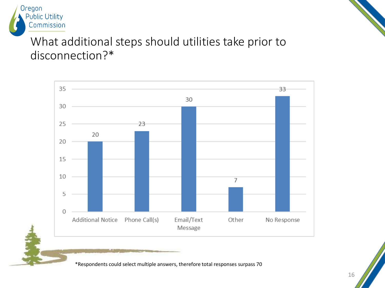

# What additional steps should utilities take prior to disconnection?\*

Oregon

**Public Utility** Commission



\*Respondents could select multiple answers, therefore total responses surpass 70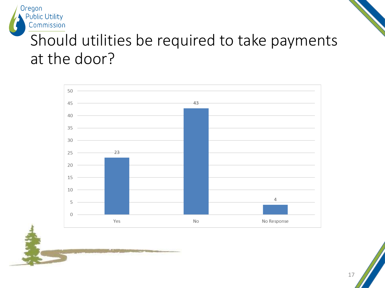

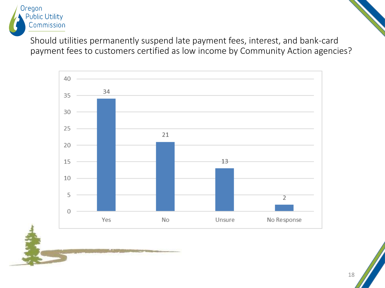

Should utilities permanently suspend late payment fees, interest, and bank-card payment fees to customers certified as low income by Community Action agencies?

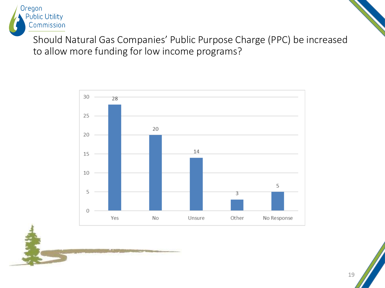

Should Natural Gas Companies' Public Purpose Charge (PPC) be increased to allow more funding for low income programs?

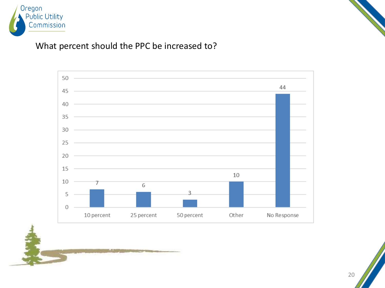



#### What percent should the PPC be increased to?

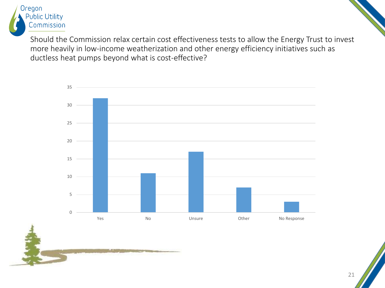

Should the Commission relax certain cost effectiveness tests to allow the Energy Trust to invest more heavily in low-income weatherization and other energy efficiency initiatives such as ductless heat pumps beyond what is cost-effective?

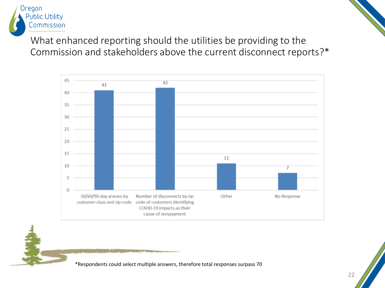

What enhanced reporting should the utilities be providing to the Commission and stakeholders above the current disconnect reports?\*



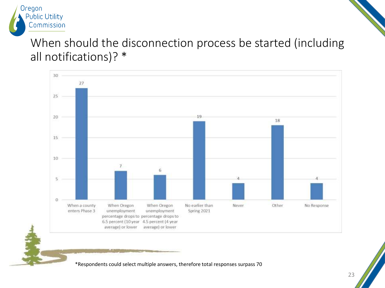

# When should the disconnection process be started (including all notifications)? \*



\*Respondents could select multiple answers, therefore total responses surpass 70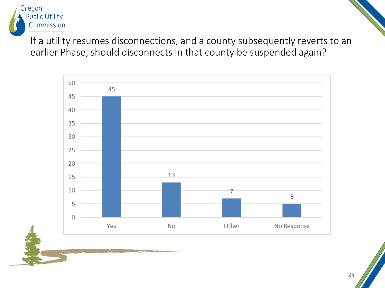

If a utility resumes disconnections, and a county subsequently reverts to an earlier Phase, should disconnects in that county be suspended again?

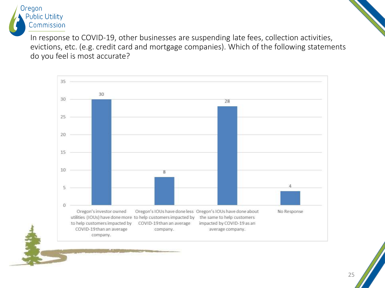

In response to COVID-19, other businesses are suspending late fees, collection activities, evictions, etc. (e.g. credit card and mortgage companies). Which of the following statements do you feel is most accurate?

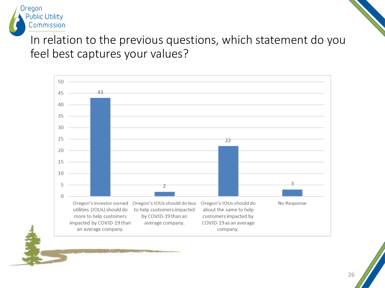

In relation to the previous questions, which statement do you feel best captures your values?